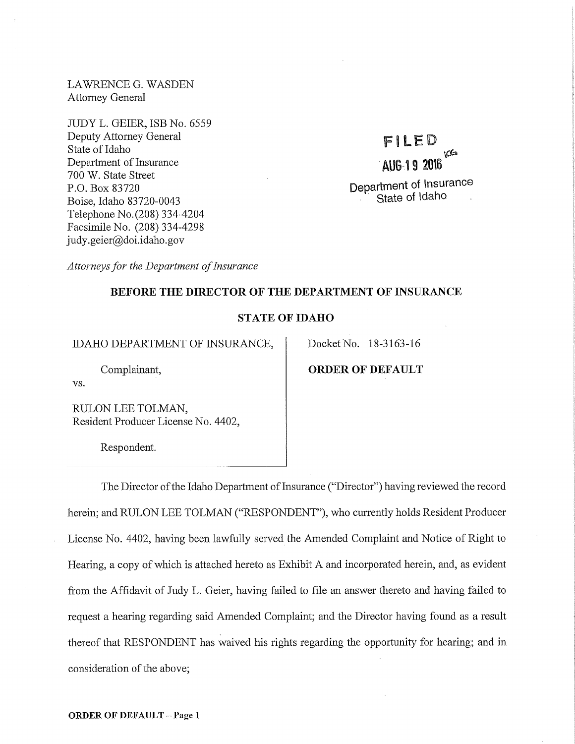LAWRENCE G. WASDEN Attorney General

JUDY L. GEIER, ISB No. 6559 Deputy Attorney General State of Idaho Department of Insurance 700 W. State Street P.O. Box 83720 Boise, Idaho 83720-0043 Telephone No.(208) 334-4204 Facsimile No. (208) 334-4298 judy. geier@doi.idaho.gov

# FILED  $\omega$ · **AUG19 2016 Department of Insurance**  State of Idaho

*Attorneys for the Department of Insurance* 

# **BEFORE THE DIRECTOR OF THE DEPARTMENT OF INSURANCE**

## **STATE OF IDAHO**

IDAHO DEPARTMENT OF INSURANCE, Docket No. 18-3163-16

# Complainant, **ORDER OF DEFAULT**

vs.

RULON LEE TOLMAN, Resident Producer License No. 4402,

Respondent.

The Director of the Idaho Department of Insurance ("Director") having reviewed the record herein; and RULON LEE TOLMAN ("RESPONDENT"), who currently holds Resident Producer License No. 4402, having been lawfully served the Amended Complaint and Notice of Right to Hearing, a copy of which is attached hereto as Exhibit A and incorporated herein, and, as evident from the Affidavit of Judy L. Geier, having failed to file an answer thereto and having failed to request a hearing regarding said Amended Complaint; and the Director having found as a result thereof that RESPONDENT has waived his rights regarding the opportunity for hearing; and in consideration of the above;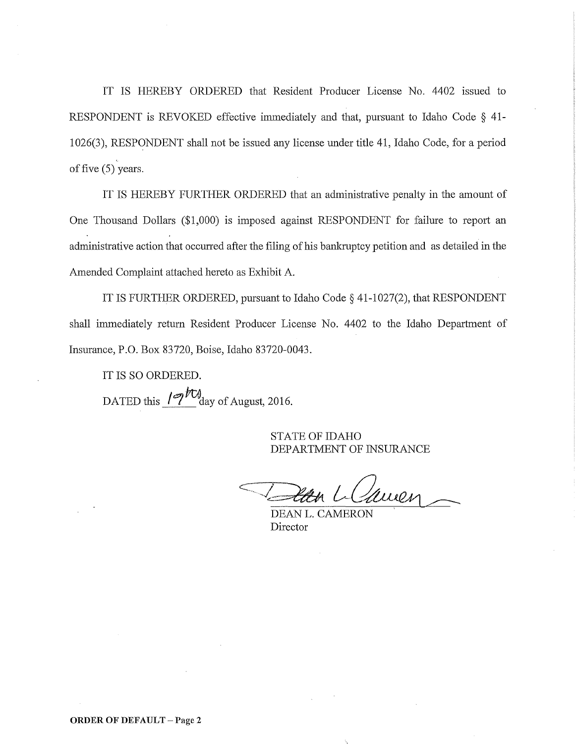IT IS HEREBY ORDERED that Resident Producer License No. 4402 issued to RESPONDENT is REVOKED effective immediately and that, pursuant to Idaho Code  $\S$  41-1026(3), RESPONDENT shall not be issued any license under title 41, Idaho Code, for a period of five (5) years.

IT IS HEREBY FURTHER ORDERED that an administrative penalty in the amount of One Thousand Dollars (\$1,000) is imposed against RESPONDENT for failure to report an administrative action that occurred after the filing of his bankruptcy petition and as detailed in the Amended Complaint attached hereto as Exhibit A.

IT IS FURTHER ORDERED, pursuant to Idaho Code§ 41-1027(2), that RESPONDENT shall immediately return Resident Producer License No. 4402 to the Idaho Department of Insurance, P.O. Box 83720, Boise, Idaho 83720-0043.

IT IS SO ORDERED. DATED this  $\sqrt{2\frac{FQ}{\text{day}}}$  of August, 2016.

> STATE OF IDAHO DEPARTMENT OF INSURANCE

auen

DEAN L. CAMERON Director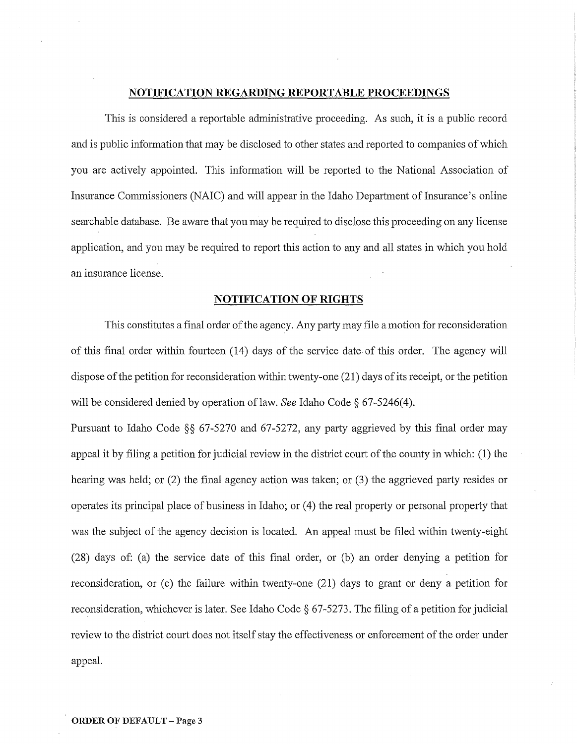#### **NOTIFICATION REGARDING REPORTABLE PROCEEDINGS**

This is considered a reportable administrative proceeding. As such, it is a public record and is public information that may be disclosed to other states and reported to companies of which you are actively appointed. This information will be reported to the National Association of Insurance Commissioners (NAIC) and will appear in the Idaho Department of Insurance's online searchable database. Be aware that you may be required to disclose this proceeding on any license application, and you may be required to report this action to any and all states in which you hold an insurance license.

# **NOTIFICATION OF RIGHTS**

This constitutes a final order of the agency. Any party may file a motion for reconsideration of this final order within fourteen (14) days of the service date of this order. The agency will dispose of the petition for reconsideration within twenty-one (21) days of its receipt, or the petition will be considered denied by operation of law. *See* Idaho Code § 67-5246(4).

Pursuant to Idaho Code  $\S$ § 67-5270 and 67-5272, any party aggrieved by this final order may appeal it by filing a petition for judicial review in the district comt of the county in which: (1) the hearing was held; or (2) the final agency action was taken; or (3) the aggrieved party resides or operates its principal place of business in Idaho; or (4) the real property or personal property that was the subject of the agency decision is located. An appeal must be filed within twenty-eight (28) days of: (a) the service date of this final order, or (b) an order denying a petition for reconsideration, or (c) the failure within twenty-one (21) days to grant or deny a petition for reconsideration, whichever is later. See Idaho Code  $667-5273$ . The filing of a petition for judicial review to the district court does not itself stay the effectiveness or enforcement of the order under appeal.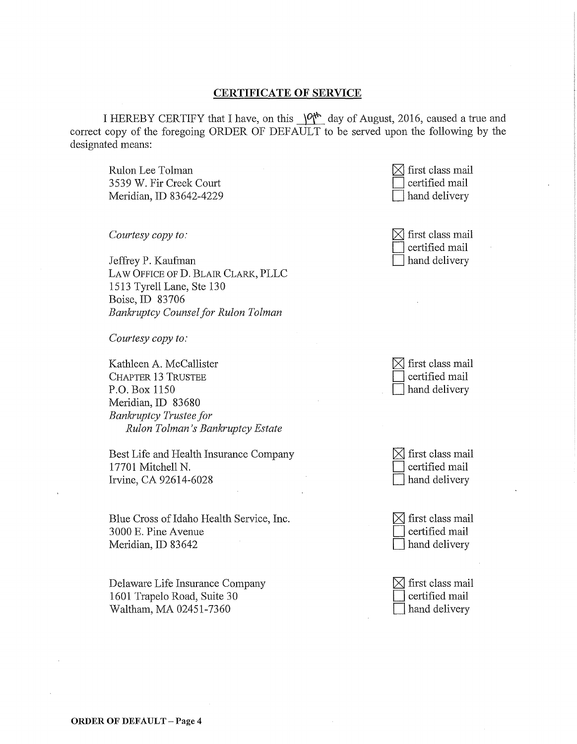# **CERTIFICATE OF SERVICE**

I HEREBY CERTIFY that I have, on this  $\sqrt{Q_t^*}$  day of August, 2016, caused a true and correct copy of the foregoing ORDER OF DEFAULT to be served upon the following by the designated means:

Rulon Lee Tolman 3539 W. Fir Creek Court Meridian, ID 83642-4229

*Courtesy copy to:* 

Jeffrey P. Kaufman LAW OFFICE OF D. BLAIR CLARK, PLLC 1513 Tyrell Lane, Ste 130 Boise, ID 83706 *Bankruptcy Counsel for Rulon Tolman* 

*Courtesy copy to:* 

Kathleen A. McCallister CHAPTER 13 TRUSTEE P.O. Box 1150 Meridian, ID 83680 *Bankruptcy Trustee for Rulon Tolman* 's *Bankruptcy Estate* 

Best Life and Health Insurance Company 17701 Mitchell N. Irvine, CA 92614-6028

Blue Cross of Idaho Health Service, Inc. 3 000 E. Pine A venue Meridian, ID 83642

Delaware Life Insurance Company 1601 Trapelo Road, Suite 30 Waltham, MA 02451-7360



| $\boxtimes$ first class mail |
|------------------------------|
| $\Box$ certified mail        |
| hand delivery                |

| $\boxtimes$ first class mail |
|------------------------------|
| $\Box$ certified mail        |
| hand delivery                |

| $\boxtimes$ first class mail |
|------------------------------|
| $\Box$ certified mail        |
| $\Box$ hand delivery         |

 $\boxtimes$  first class mail certified mail hand delivery

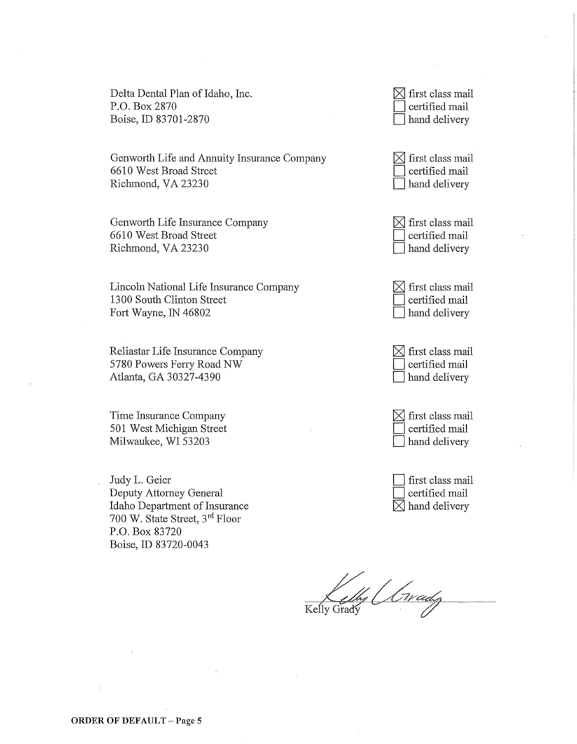Delta Dental Plan of Idaho, Inc. P.O. Box 2870 Boise, ID 83701-2870

Genworth Life and Annuity Insurance Company 6610 West Broad Street Richmond, VA 23230

Genworth Life Insurance Company 6610 West Broad Street Richmond, VA 23230

Lincoln National Life Insurance Company 1300 South Clinton Street Fort Wayne, IN 46802

Reliastar Life Insurance Company 5780 Powers Feny Road NW Atlanta, GA 30327-4390

Time Insurance Company 501 West Michigan Street Milwaukee, WI 53203

Judy L. Geier Deputy Attorney General Idaho Department of Insurance 700 W. State Street, 3rd Floor P.O. Box 83720 Boise, ID 83720-0043

| $\boxtimes$ first class mail |
|------------------------------|
| $\Box$ certified mail        |
| $\Box$ hand delivery         |

| $\boxtimes$ first class mail |
|------------------------------|
| $\Box$ certified mail        |
| $\Box$ hand delivery         |

| $\boxtimes$ first class mail |
|------------------------------|
| $\Box$ certified mail        |
| hand delivery                |

| $\boxtimes$ first class mail |
|------------------------------|
| certified mail               |
| $\Box$ hand delivery         |

| $\boxtimes$ first class mail |
|------------------------------|
| certified mail               |
| hand delivery                |

| $\boxtimes$ first class mail |
|------------------------------|
| certified mail               |
| hand delivery                |

first class mail certified mail  $\boxtimes$  hand delivery

ly Orvady Kelly Grady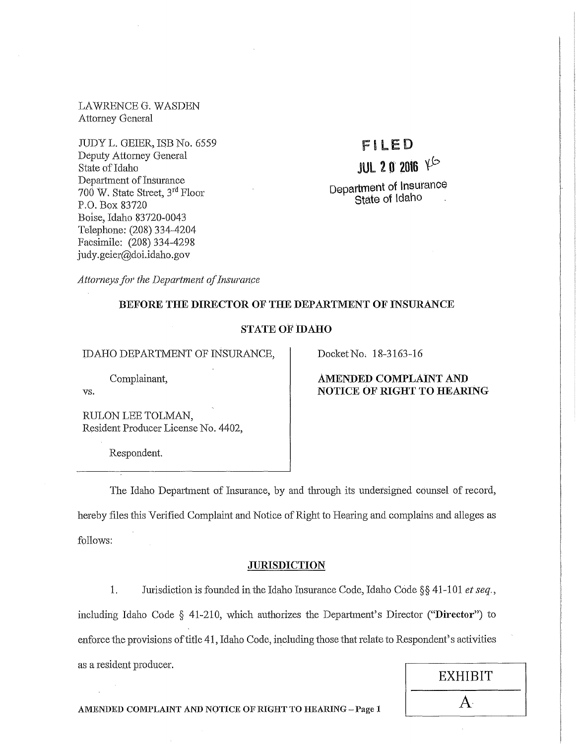LAWRENCEG. WASDEN Attorney General

JUDY L. GEIER, ISB No. 6559 Deputy Attorney General State of Idaho Department of Insurance  $700$  W. State Street,  $3<sup>rd</sup>$  Floor P.O. Box 83720 Boise, Idaho 83720-0043 Telephone: (208) 334-4204 Facsimile: (208) 334-4298 judy. geier@doi.idaho.gov

# FILED

# JUL 2 0 2016  $Y^{\circ}$

Department of Insurance State of Idaho

*Attorneys fol' the Department of Insurance* 

# BEFORE THE DIRECTOR OF THE DEPARTMENT OF INSURANCE

# STATE OF IDAHO

IDAHO DEPARTMENT OF INSURANCE, Docket No. 18-3163-16

Complainant,

vs.

RULON LEE TOLMAN, Resident Producer License No. 4402,

Respondent.

AMENDED COMPLAINT AND NOTICE OF RIGHT TO HEARING

The Idaho Depmiment of Insurance, by and through its undersigned counsel of record, hereby files this Verified Complaint and Notice of Right to Hearing and complains and alleges as follows:

#### **JURISDICTION**

1. Jmisdiction is founded in the Idaho Insmance Code, Idaho Code § § 41-101 *et seq.,*  including Idaho Code § 41-210, which authorizes the Department's Director ("Director") to enforce the provisions of title 41, Idaho Code, including those that relate to Respondent's activities as a resident producer.

| EXHIBIT      |  |
|--------------|--|
| $\mathsf{A}$ |  |

AMENDED COMPLAINT AND NOTICE OF RIGHT TO HEARING - Page 1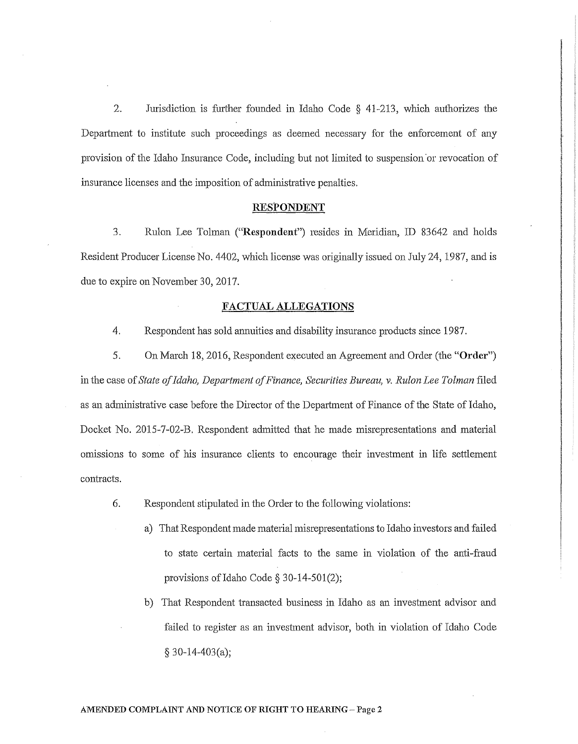2. Jurisdiction is further founded in Idaho Code § 41-213, which authorizes the Department to institute such proceedings as deemed necessary for the enforcement of any provision of the Idaho Insurance Code, including but not limited to suspension.or revocation of insurance licenses and the imposition of administrative penalties.

#### RESPONDENT

3. Rulon Lee Tolman ("Respondent") resides in Meridian, ID 83642 and holds Resident Producer License No. 4402, which license was originally issued on July 24, 1987, and is due to expire on November 30, 2017.

#### FACTUAL ALLEGATIONS

4. Respondent has sold annuities and disability insurance products since 1987.

5. On March 18, 2016, Respondent executed an Agreement and Order (the "Order") in the case of *State of Idaho, Department of Finance, Securities Bureau, v. Rulon Lee Tolman* filed as an administrative case before the Director of the Department of Finance of the State of Idaho, Docket No. 2015-7-02-B. Respondent admitted that he made misrepresentations and material omissions to some of his insurance clients to encourage their investment in life settlement contracts.

- 6. Respondent stipulated in the Order to the following violations:
	- a) That Respondent made material misrepresentations to Idaho investors and failed to state certain material facts to the same in violation of the anti-fraud provisions of Idaho Code  $\S 30-14-501(2)$ ;
	- b) That Respondent transacted business in Idaho as an investment advisor and failed to register as an investment advisor, both in violation of Idaho Code  $§$  30-14-403(a);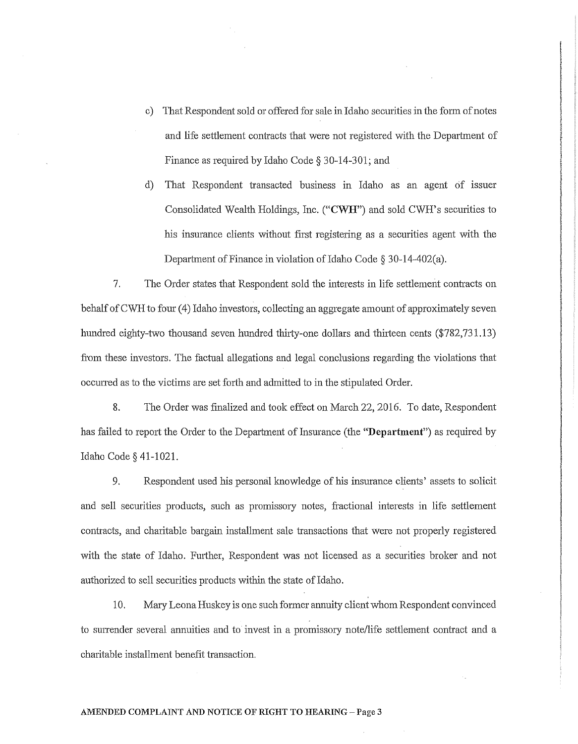- c) That Respondent sold or offered for sale in Idaho securities in the fotm of notes and life settlement contracts that were not registered with the Department of Finance as required by Idaho Code§ 30-14-301; and
- d) That Respondent transacted business in Idaho as an agent of issuer Consolidated Wealth Holdings, Inc. **("CWH")** and sold CWH's securities to his insurance clients without first registering as a securities agent with the Department of Finance in violation of Idaho Code§ 30-14-402(a).

7. The Order states that Respondent sold the interests in life settlement contracts on behalf of CWH to four (4) Idaho investors, collecting an aggregate amount of approximately seven hundred eighty-two thousand seven hundred thirty-one dollars and thirteen cents (\$782,731.13) from these investors. The factual allegations and legal conclusions regarding the violations that occuned as to the victims are set forth and admitted to in the stipulated Order.

8. The Order was finalized and took effect on March 22, 2016. To date, Respondent has failed to report the Order to the Department of Insurance (the **"Department")** as required by Idaho Code§ 41-1021.

9. Respondent used his personal knowledge of his insurance clients' assets to solicit and sell securities products, such as promissory notes, fractional interests in life settlement contracts, and charitable bargain installment sale transactions that were not properly registered with the state of Idaho. Further, Respondent was not licensed as a securities broker and not authorized to sell securities products within the state of Idaho.

10. Mary Leona Huskey is one such former annuity client whom Respondent convinced to surrender several annuities and to invest in a promissory note/life settlement contract and a charitable installment benefit transaction.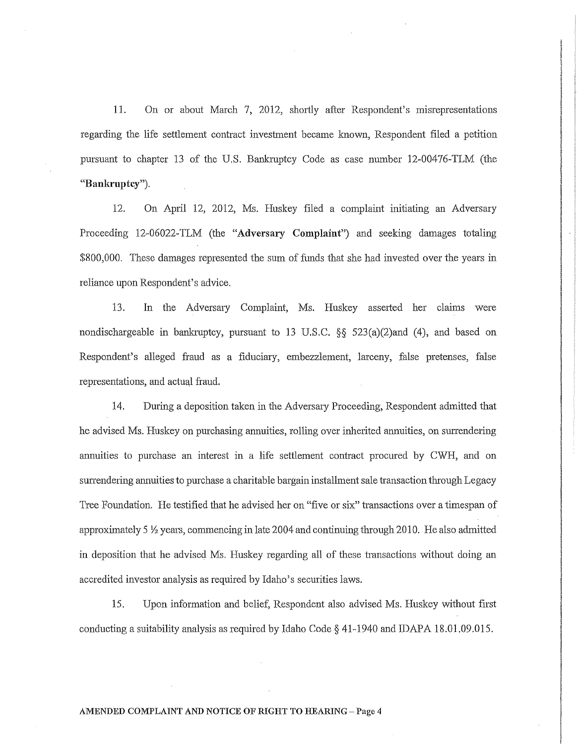11. On or about March 7, 2012, shortly after Respondent's misrepresentations regarding the life settlement contract investment became known, Respondent filed a petition pursuant to chapter 13 of the U.S. Bankruptcy Code as case number 12-00476-TLM (the **"Bankruptcy").** 

12. On April 12, 2012, Ms. Huskey filed a complaint initiating an Adversary Proceeding 12-06022-TLM (the "Adversary **Complaint")** and seeking damages totaling  $$800,000$ . These damages represented the sum of funds that she had invested over the years in reliance upon Respondent's advice.

13. In the Adversary Complaint, Ms. Huskey asseited her claims were nondischargeable in bankruptcy, pursuant to 13 U.S.C.  $\S$  523(a)(2)and (4), and based on Respondent's alleged fraud as a fiduciary, embezzlement, larceny, false pretenses, false representations, and actual fraud.

14. During a deposition taken in the Adversmy Proceeding, Respondent admitted that he advised Ms. Huskey on purchasing annuities, rolling over inherited annuities, on surrendering annuities to purchase an interest in a life settlement contract procured by CWH, and on surrendering annuities to purchase a charitable bargain installment sale transaction through Legacy Tree Foundation. He testified that he advised her on "five or six" transactions over a timespan of approximately 5  $\frac{1}{2}$  years, commencing in late 2004 and continuing through 2010. He also admitted in deposition that he advised Ms. Huskey regarding all of these transactions without doing an accredited investor analysis as required by Idaho's securities laws.

15. Upon information and belief, Respondent also advised Ms. Huskey without first conducting a suitability analysis as required by Idaho Code  $\S$  41-1940 and IDAPA 18.01.09.015.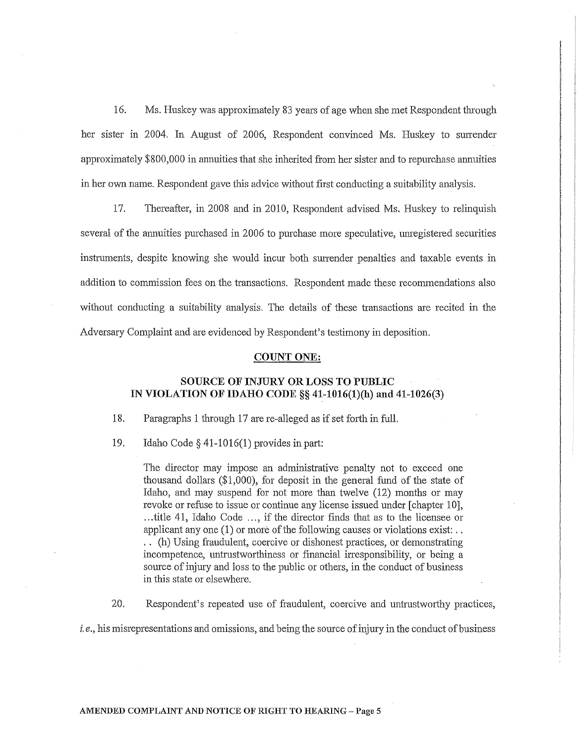16. Ms. Huskey was approximately 83 years of age when she met Respondent through her sister in 2004. In August of 2006, Respondent convinced Ms. Huskey to surrender approximately \$800,000 in annuities that she inherited from her sister and to repurchase annuities in her own name. Respondent gave this advice without first conducting a suitability analysis.

17. Thereafter, in 2008 and in 2010, Respondent advised Ms. Huskey to relinquish several of the annuities purchased in 2006 to purchase more speculative, unregistered securities instruments, despite knowing she would incur both surrender penalties and taxable events in addition to commission fees on the transactions. Respondent made these recommendations also without conducting a suitability analysis. The details of these transactions are recited in the Adversary Complaint and are evidenced by Respondent's testimony in deposition.

#### **COUNT ONE:**

# **SOURCE OF INJURY OR LOSS TO PUBLIC IN VIOLATION OF IDAHO CODE§§ 41-1016(1)(h) and 41-1026(3)**

18. Paragraphs 1 through 17 are re-alleged as if set forth in full.

19. Idaho Code§ 41-1016(1) provides in part:

The director may impose an administrative penalty not to exceed one thousand dollars (\$1,000), for deposit in the general fund of the state of Idaho, and may suspend for not more than twelve (12) months or may revoke or refuse to issue or continue any license issued under [chapter 10], ... title 41, Idaho Code ... , if the director finds that as to the licensee or applicant any one (1) or more of the following causes or violations exist: .. . . (h) Using fraudulent, coercive or dishonest practices, or demonstrating incompetence, untrustworthiness or financial irresponsibility, or being a source of injury and loss to the public or others, in the conduct of business in this state or elsewhere.

20. Respondent's repeated use of fraudulent, coercive and untrustworthy practices,

*i.e.,* his misrepresentations and omissions, and being the source of injury in the conduct of business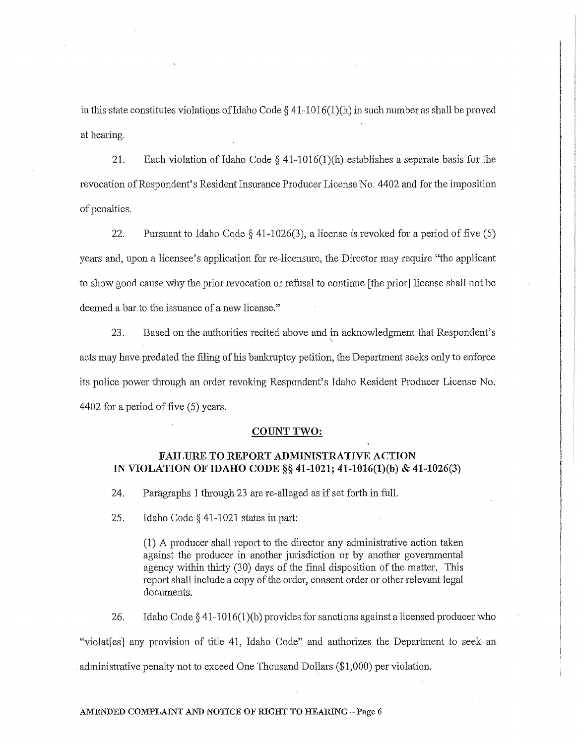in this state constitutes violations of Idaho Code  $\S$  41-1016(1)(h) in such number as shall be proved at hearing.

21. Each violation of Idaho Code  $\S$  41-1016(1)(h) establishes a separate basis for the revocation of Respondent's Resident Insurance Producer License No. 4402 and for the imposition of penalties.

22. Pursuant to Idaho Code§ 41-1026(3), a license is revoked for a period of five (5) years and, upon a licensee's application for re-licensure, the Director may require "the applicant to show good cause why the prior revocation or refusal to continue [the prior] license shall not be deemed a bar to the issuance of a new license."

23. Based on the authorities recited above and in acknowledgment that Respondent's \ acts may have predated the filing of his bankruptcy petition, the Department seeks only to enforce its police power through an order revoking Respondent's Idaho Resident Producer License No. 4402 for a period of five (5) years.

#### **COUNT TWO:**

### **FAILURE TO REPORT ADMINISTRATIVE ACTION IN VIOLATION OF IDAHO CODE§§ 41-1021; 41-1016(1)(b) & 41-1026(3)**

24. Paragraphs 1 through 23 are re-alleged as if set forth in full.

25. Idaho Code  $\S$  41-1021 states in part:

 $(1)$  A producer shall report to the director any administrative action taken against the producer in another jurisdiction or by another governmental agency within thirty (30) days of the final disposition of the matter. This report shall include a copy of the order, consent order or other relevant legal documents.

26. Idaho Code  $\S$  41-1016(1)(b) provides for sanctions against a licensed producer who "violat [es] any provision of title 41, Idaho Code" and authorizes the Department to seek an administrative penalty not to exceed One Thousand Dollars (\$1,000) per violation.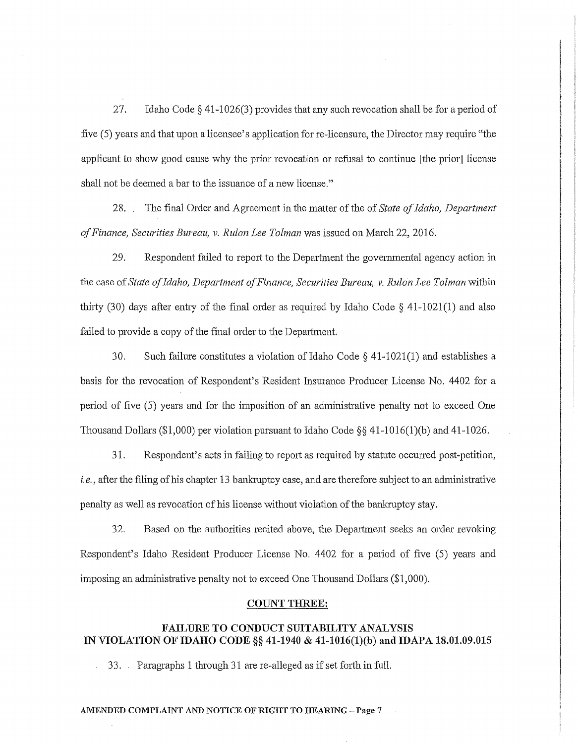27. Idaho Code§ 41-1026(3) provides that any such revocation shall be for a period of five (5) years and that upon a licensee's application for re-licensure, the Director may require "the applicant to show good cause why the prior revocation or refusal to continue [the prior] license shall not be deemed a bar to the issuance of a new license."

h<br>Albert A l<br>Literature<br>Literature l

28. . The final Order and Agreement in the matter of the of *State of Idaho, Department of Finance, Securities Bureau, v. Rulon Lee Tolman* was issued on March 22, 2016.

29. Respondent failed to report to the Department the governmental agency action in the case of *State of Idaho, Department of Finance, Securities Bureau, v. Rulon Lee Tolman* within thirty (30) days after entry of the final order as required by Idaho Code § 41-1021(1) and also failed to provide a copy of the final order to the Department.

30. Such failure constitutes a violation of Idaho Code § 41-1021(1) and establishes a basis for the revocation of Respondent's Resident Insurance Producer License No. 4402 for a period of five (5) years and for the imposition of an administrative penalty not to exceed One Thousand Dollars (\$1,000) per violation pursuant to Idaho Code  $\S$ § 41-1016(1)(b) and 41-1026.

31. Respondent's acts in failing to report as required by statute occurred post-petition, *i.e.,* after the filing of his chapter 13 bankruptcy case, and are therefore subject to an administrative penalty as well as revocation of his license without violation of the bankruptcy stay.

32. Based on the authorities recited above, the Department seeks an order revoking Respondent's Idaho Resident Producer License No. 4402 for a period of five (5) years and imposing an administrative penalty not to exceed One Thousand Dollars (\$1,000).

#### **COUNT THREE:**

# **FAILURE TO CONDUCT SUITABILITY ANALYSIS IN VIOLATION OF IDAHO CODE§§ 41-1940 & 41-1016(1)(b) and IDAPA 18.01.09.015**

33. Paragraphs 1 through 31 are re-alleged as if set forth in full.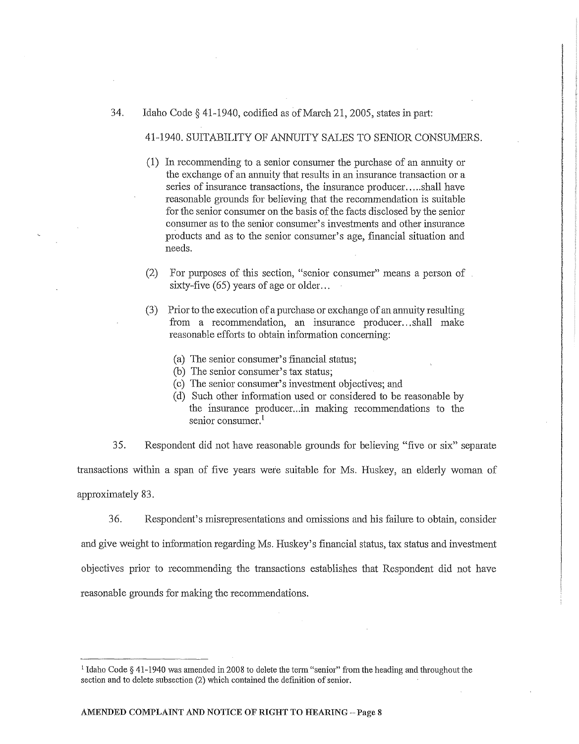#### 34. Idaho Code§ 41-1940, codified as of March 21, 2005, states in part:

41-1940. SUITABILITY OF ANNUITY SALES TO SENIOR CONSUMERS.

- (1) In recommending to a senior consumer the purchase of an annuity or the exchange of an annuity that results in an insurance transaction or a series of insurance transactions, the insurance producer ..... shall have reasonable grounds for believing that the reconunendation is suitable for the senior consumer on the basis of the facts disclosed by the senior consumer as to the senior consumer's investments and other insurance products and as to the senior consumer's age, financial situation and needs.
- (2) For purposes of this section, "senior consumer" means a person of sixty-five  $(65)$  years of age or older...
- (3) Prior to the execution of a purchase or exchange of an annuity resulting from a recommendation, an insurance producer...shall make reasonable efforts to obtain information concerning:
	- (a) The senior consumer's financial status;
	- (b) The senior consumer's tax status;
	- (c) The senior consumer's investment objectives; and
	- (d) Such other information used or considered to be reasonable by the insurance producer .. .in making recommendations to the senior consumer.<sup>1</sup>

35. Respondent did not have reasonable grounds for believing "five or six" separate transactions within a span of five years wefo suitable for Ms. Huskey, an elderly woman of approximately 83.

36. Respondent's misrepresentations and omissions and his failure to obtain, consider and give weight to information regarding Ms. Huskey's financial status, tax status and investment objectives prior to recommending the transactions establishes that Respondent did not have reasonable grounds for making the recommendations.

<sup>&</sup>lt;sup>1</sup> Idaho Code § 41-1940 was amended in 2008 to delete the term "senior" from the heading and throughout the section and to delete subsection (2) which contained the definition of senior.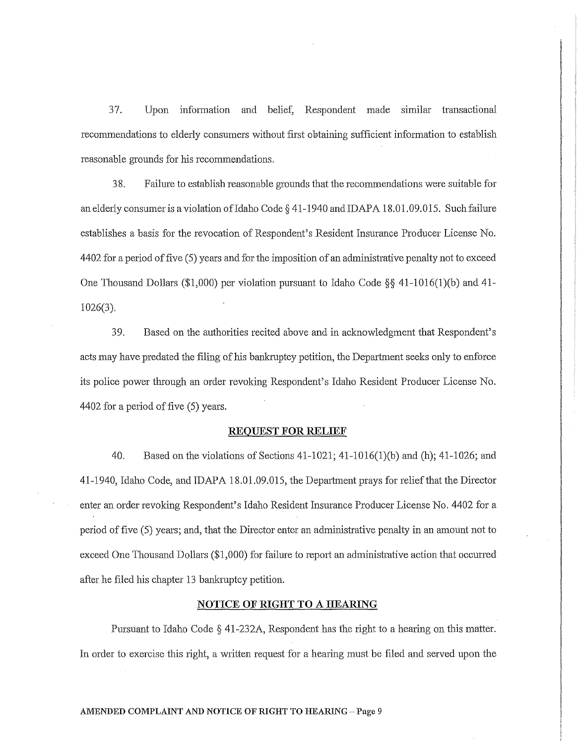37. Upon inf01mation and belief, Respondent made similar transactional recommendations to elderly consumers without first obtaining sufficient information to establish reasonable grounds for his recommendations.

|<br>|<br>|<br>|

3 8. Failure to establish reasonable grounds that the recommendations were suitable for an elderly consumer is a violation of Idaho Code  $\S$  41-1940 and IDAPA 18.01.09.015. Such failure establishes a basis for the revocation of Respondent's Resident Insurance Producer License No. 4402 for a period of five ( 5) years and for the imposition of an administrative penalty not to exceed One Thousand Dollars (\$1,000) per violation pursuant to Idaho Code§§ 41-1016(1)(b) and 41- 1026(3).

3 9. Based on the authorities recited above and in acknowledgment that Respondent's acts may have predated the filing of his bankruptcy petition, the Department seeks only to enforce its police power through an order revoking Respondent's Idaho Resident Producer License No. 4402 for a period of five (5) years.

#### **REQUEST FOR RELIEF**

40. Based on the violations of Sections 41-1021; 41-1016(1)(b) and (h); 41-1026; and 41-1940, Idaho Code, and IDAPA 18.01.09.015, the Department prays for relief that the Director enter an order revoking Respondent's Idaho Resident Insurance Producer License No. 4402 for a period of five (5) years; and, that the Director enter an administrative penalty in an amount not to exceed One Thousand Dollars (\$1,000) for failure to report an administrative action that occuned after he filed his chapter 13 bankruptcy petition.

#### **NOTICE OF RIGHT TO A HEARING**

Pursuant to Idaho Code§ 4l-232A, Respondent has the right to a hearing on this matter. In order to exercise this right, a written request for a hearing must be filed and served upon the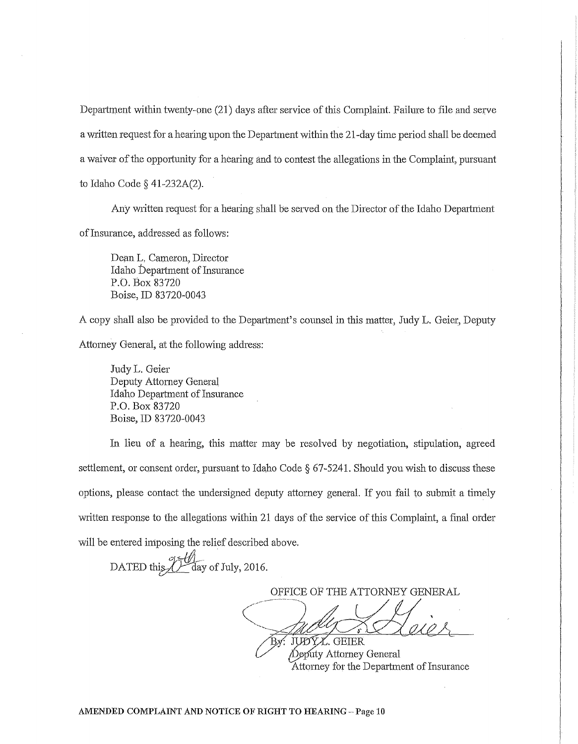Department within twenty-one (21) days after service of this Complaint. Failure to file and serve a written request for a hearing upon the Department within the 21-day time period shall be deemed a waiver of the opportunity for a hearing and to contest the allegations in the Complaint, pursuant to Idaho Code § 41-232A(2).

Any written request for a hearing shall be served on the Director of the Idaho Department of Insurance, addressed as follows:

Dean L, Cameron, Director Idaho Department of Insurance P.O. Box 83720 Boise, ID 83720-0043

A copy shall also be provided to the Department's counsel in this matter, Judy L. Geier, Deputy Attorney General, at the following address:

Judy L. Geier Deputy Attorney General Idaho Department of Insurance P.O. Box 83720 Boise, ID 83720-0043

In lieu of a hearing, this matter may be resolved by negotiation, stipulation, agreed settlement, or consent order, pursuant to Idaho Code  $\S$  67-5241. Should you wish to discuss these options, please contact the undersigned deputy attorney general. If you fail to submit a timely written response to the allegations within 21 days of the service of this Complaint, a final order will be entered imposing the relief described above.

DATED this <u>U</u> day of July, 2016.

OFFICE OF THE ATTORNEY GENERAL

y: JUDYX. GEIER

Deputy Attorney General Attorney for the Department of Insurance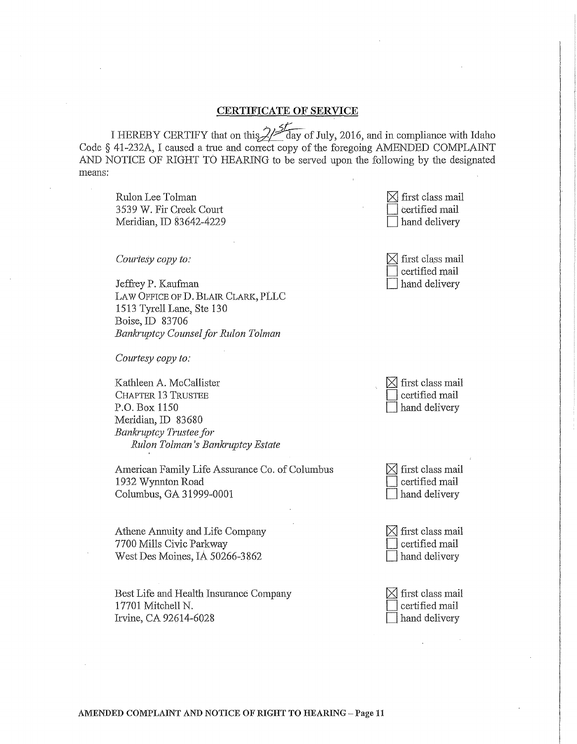# CERTIFICATE OF SERVICE

I HEREBY CERTIFY that on this  $\angle$  ay of July, 2016, and in compliance with Idaho Code § 41-232A, I caused a true and correct copy of the foregoing AMENDED COMPLAINT AND NOTICE OF RIGHT TO HEARING to be served upon the following by the designated means:

Rulon Lee Tolman 3539 W. Fir Creek Comi Meridian, ID 83642-4229

*Courtesy copy to;·* 

Jeffrey P. Kaufman LAW OFFICE OF D. BLAIR CLARK, PLLC 1513 Tyrell Lane, Ste 130 Boise, ID 83706 *Bankruptcy Counsel for Rulon Tolman* 

*Courtesy copy to:* 

Kathleen A. McCallister CHAPTER 13 TRUSTEE P.O. Box 1150 Meridian, ID 83680 *Bankruptcy Trustee for Rulon Tolman 's Banla·uptcy Estate* 

American Family Life Assurance Co. of Columbus 1932 Wynnton Road Columbus, GA 31999-0001

Athene Annuity and Life Company 7700 Mills Civic Parkway West Des Moines, IA 50266-3862

Best Life and Health Insurance Company 17701 Mitchell N. Irvine, CA 92614-6028

| $\boxtimes$ first class mail |
|------------------------------|
| certified mail               |
| hand delivery                |

| $\boxtimes$ first class mail |
|------------------------------|
| $\Box$ certified mail        |
| hand delivery                |

| $\boxtimes$ first class mail |
|------------------------------|
| $\Box$ certified mail        |
| hand delivery                |

| $\boxtimes$ first class mail |
|------------------------------|
| certified mail               |
| $\Box$ hand delivery         |

| $\boxtimes$ first class mail |
|------------------------------|
| certified mail               |
| hand delivery                |



AMENDED COMPLAINT AND NOTICE OF RIGHT TO HEARING - Page 11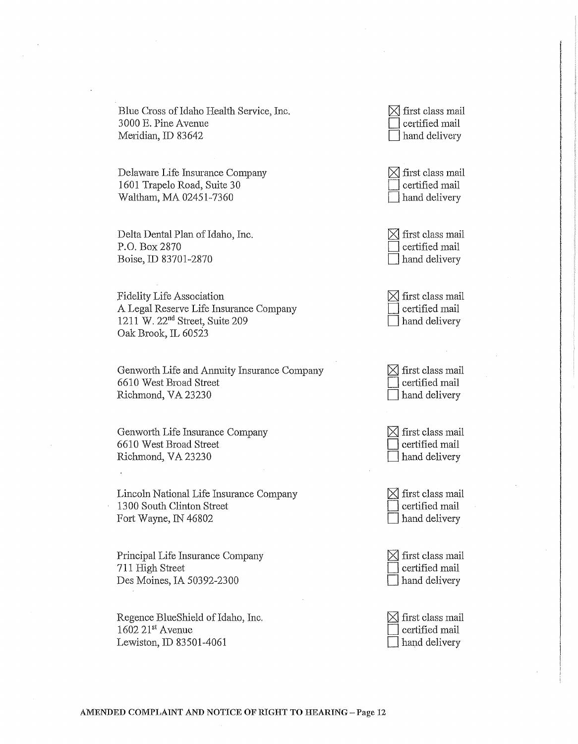Blue Cross of Idaho Health Service, Inc. 3 000 E. Pine A venue Meridian, ID 83642

Delaware Life Insurance Company 1601 Trapelo Road, Suite 30 Waltham, MA 02451-7360

Delta Dental Plan of Idaho, Inc. P.O. Box 2870 Boise, ID 83701-2870

Fidelity Life Association A Legal Reserve Life Insurance Company 1211 W. 22nd Street, Suite 209 Oak Brook, IL 60523

Genworth Life and Annuity Insurance Company 6610 West Broad Street Richmond, VA 23230

Genworth Life Insurance Company 6610 West Broad Street Richmond, VA 23230

Lincoln National Life Insurance Company 1300 South Clinton Street Fort Wayne, IN 46802

Principal Life Insurance Company 711 High Street Des Moines, IA 50392-2300

Regence BlueShield of Idaho, Inc.  $1602$   $21$ <sup>st</sup> Avenue Lewiston, ID 83501-4061

 $\boxtimes$  first class mail l certified mail hand delivery

 $\boxtimes$  first class mail certified mail hand delivery

 $\boxtimes$  first class mail certified mail hand delivery

| $\boxtimes$ first class mail |
|------------------------------|
| $\Box$ certified mail        |
| Thand delivery               |

 $\boxtimes$  first class mail certified mail hand delivery

| $\boxtimes$ first class mail |
|------------------------------|
| $\Box$ certified mail        |
| $\Box$ hand delivery         |

 $\times$  first class mail certified mail hand delivery

 $\times$  first class mail certified mail hand delivery

| $\boxtimes$ first class mail |
|------------------------------|
| $\Box$ certified mail        |
| $\Box$ hand delivery         |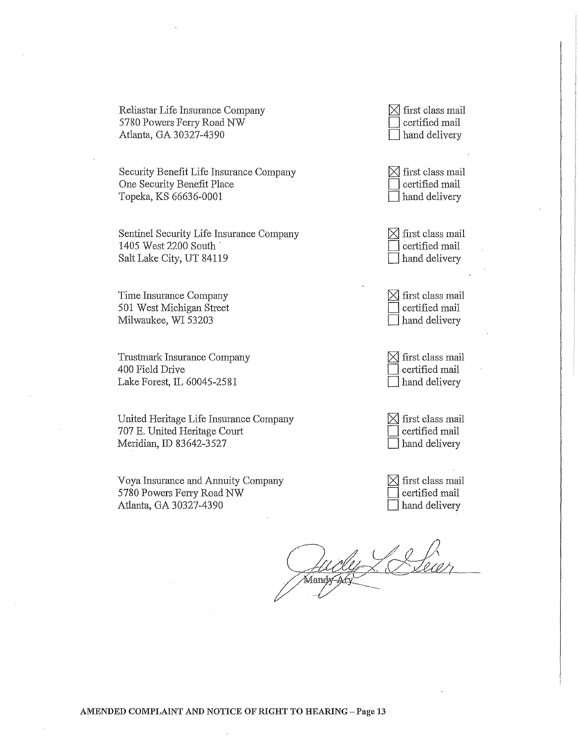Reliastar Life Insurance Company 5780 Powers Ferry Road NW Atlanta, GA 30327-4390

Security Benefit Life Insurance Company One Security Benefit Place Topeka, KS 66636-0001

Sentinel Security Life Insurance Company 1405 West 2200 South · Salt Lake City, UT 84119

Time Insurance Company 501 West Michigan Street Milwaukee, WI 53203

Trustrnark Insurance Company 400 Field Drive Lake Forest, IL 60045-2581

United Heritage Life Insurance Company 707 E. United Heritage Comi Meridian, ID 83642-3527

Voya Insurance and Annuity Company 5780 Powers Feny Road NW Atlanta, GA 30327-4390

 $\boxtimes$  first class mail certified mail 1 hand delivery

 $\boxtimes$  first class mail l certified mail hand delivery

 $\boxtimes$  first class mail certified mail hand delivery

 $\boxtimes$  first class mail certified mail hand delivery

 $\boxtimes$  first class mail certified mail hand delivery

| $\boxtimes$ first class mail |
|------------------------------|
| certified mail               |
| Thand delivery               |

 $\boxtimes$  first class mail certified mail hand delivery

,<br>Aandx≠